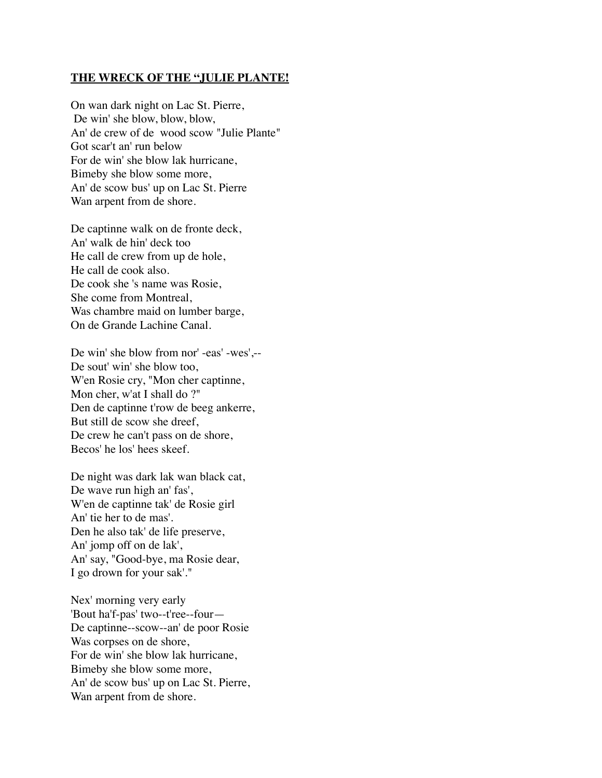## **THE WRECK OF THE "JULIE PLANTE!**

On wan dark night on Lac St. Pierre, De win' she blow, blow, blow, An' de crew of de wood scow "Julie Plante" Got scar't an' run below For de win' she blow lak hurricane, Bimeby she blow some more, An' de scow bus' up on Lac St. Pierre Wan arpent from de shore.

De captinne walk on de fronte deck, An' walk de hin' deck too He call de crew from up de hole, He call de cook also. De cook she 's name was Rosie, She come from Montreal, Was chambre maid on lumber barge, On de Grande Lachine Canal.

De win' she blow from nor' -eas' -wes',-- De sout' win' she blow too, W'en Rosie cry, "Mon cher captinne, Mon cher, w'at I shall do ?" Den de captinne t'row de beeg ankerre, But still de scow she dreef, De crew he can't pass on de shore, Becos' he los' hees skeef.

De night was dark lak wan black cat, De wave run high an' fas', W'en de captinne tak' de Rosie girl An' tie her to de mas'. Den he also tak' de life preserve, An' jomp off on de lak', An' say, "Good-bye, ma Rosie dear, I go drown for your sak'."

Nex' morning very early 'Bout ha'f-pas' two--t'ree--four— De captinne--scow--an' de poor Rosie Was corpses on de shore, For de win' she blow lak hurricane, Bimeby she blow some more, An' de scow bus' up on Lac St. Pierre, Wan arpent from de shore.